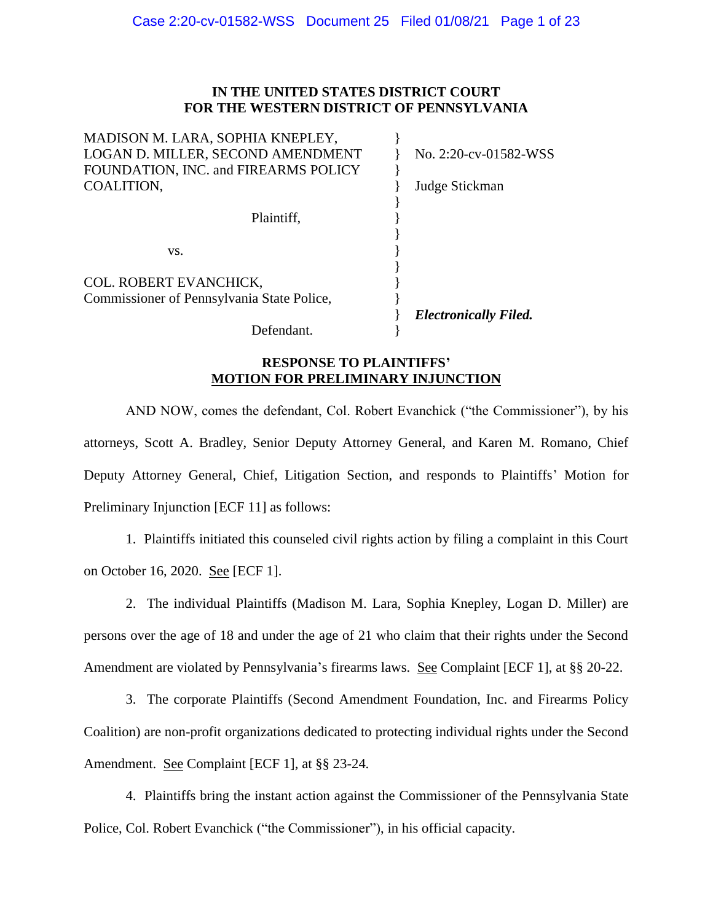## **IN THE UNITED STATES DISTRICT COURT FOR THE WESTERN DISTRICT OF PENNSYLVANIA**

| MADISON M. LARA, SOPHIA KNEPLEY,           |                              |
|--------------------------------------------|------------------------------|
| LOGAN D. MILLER, SECOND AMENDMENT          | No. 2:20-cv-01582-WSS        |
| FOUNDATION, INC. and FIREARMS POLICY       |                              |
| COALITION,                                 | Judge Stickman               |
|                                            |                              |
| Plaintiff,                                 |                              |
|                                            |                              |
| VS.                                        |                              |
|                                            |                              |
| COL. ROBERT EVANCHICK,                     |                              |
| Commissioner of Pennsylvania State Police, |                              |
|                                            | <b>Electronically Filed.</b> |
| Defendant.                                 |                              |

## **RESPONSE TO PLAINTIFFS' MOTION FOR PRELIMINARY INJUNCTION**

AND NOW, comes the defendant, Col. Robert Evanchick ("the Commissioner"), by his attorneys, Scott A. Bradley, Senior Deputy Attorney General, and Karen M. Romano, Chief Deputy Attorney General, Chief, Litigation Section, and responds to Plaintiffs' Motion for Preliminary Injunction [ECF 11] as follows:

1. Plaintiffs initiated this counseled civil rights action by filing a complaint in this Court on October 16, 2020. See [ECF 1].

2. The individual Plaintiffs (Madison M. Lara, Sophia Knepley, Logan D. Miller) are persons over the age of 18 and under the age of 21 who claim that their rights under the Second Amendment are violated by Pennsylvania's firearms laws. See Complaint [ECF 1], at §§ 20-22.

3. The corporate Plaintiffs (Second Amendment Foundation, Inc. and Firearms Policy Coalition) are non-profit organizations dedicated to protecting individual rights under the Second Amendment. See Complaint [ECF 1], at §§ 23-24.

4. Plaintiffs bring the instant action against the Commissioner of the Pennsylvania State Police, Col. Robert Evanchick ("the Commissioner"), in his official capacity.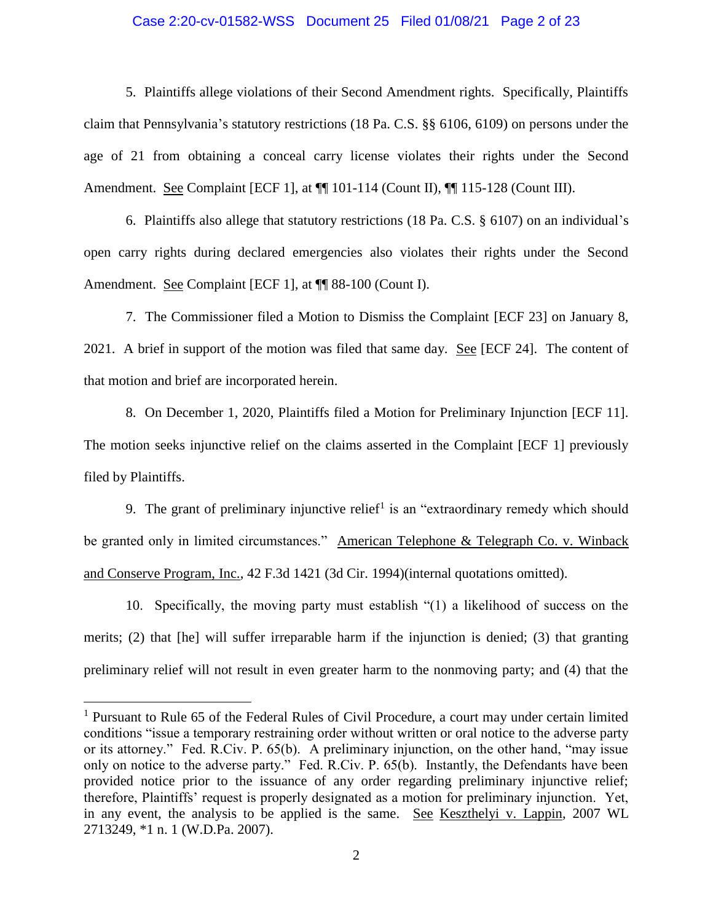#### Case 2:20-cv-01582-WSS Document 25 Filed 01/08/21 Page 2 of 23

5. Plaintiffs allege violations of their Second Amendment rights. Specifically, Plaintiffs claim that Pennsylvania's statutory restrictions (18 Pa. C.S. §§ 6106, 6109) on persons under the age of 21 from obtaining a conceal carry license violates their rights under the Second Amendment. See Complaint [ECF 1], at ¶¶ 101-114 (Count II), ¶¶ 115-128 (Count III).

6. Plaintiffs also allege that statutory restrictions (18 Pa. C.S. § 6107) on an individual's open carry rights during declared emergencies also violates their rights under the Second Amendment. See Complaint [ECF 1], at  $\P$  88-100 (Count I).

7. The Commissioner filed a Motion to Dismiss the Complaint [ECF 23] on January 8, 2021. A brief in support of the motion was filed that same day. See [ECF 24]. The content of that motion and brief are incorporated herein.

8. On December 1, 2020, Plaintiffs filed a Motion for Preliminary Injunction [ECF 11]. The motion seeks injunctive relief on the claims asserted in the Complaint [ECF 1] previously filed by Plaintiffs.

9. The grant of preliminary injunctive relief<sup>1</sup> is an "extraordinary remedy which should be granted only in limited circumstances." American Telephone & Telegraph Co. v. Winback and Conserve Program, Inc., 42 F.3d 1421 (3d Cir. 1994)(internal quotations omitted).

10. Specifically, the moving party must establish "(1) a likelihood of success on the merits; (2) that [he] will suffer irreparable harm if the injunction is denied; (3) that granting preliminary relief will not result in even greater harm to the nonmoving party; and (4) that the

<sup>&</sup>lt;sup>1</sup> Pursuant to Rule 65 of the Federal Rules of Civil Procedure, a court may under certain limited conditions "issue a temporary restraining order without written or oral notice to the adverse party or its attorney." Fed. R.Civ. P. 65(b). A preliminary injunction, on the other hand, "may issue only on notice to the adverse party." Fed. R.Civ. P. 65(b). Instantly, the Defendants have been provided notice prior to the issuance of any order regarding preliminary injunctive relief; therefore, Plaintiffs' request is properly designated as a motion for preliminary injunction. Yet, in any event, the analysis to be applied is the same. See Keszthelyi v. Lappin, 2007 WL 2713249, \*1 n. 1 (W.D.Pa. 2007).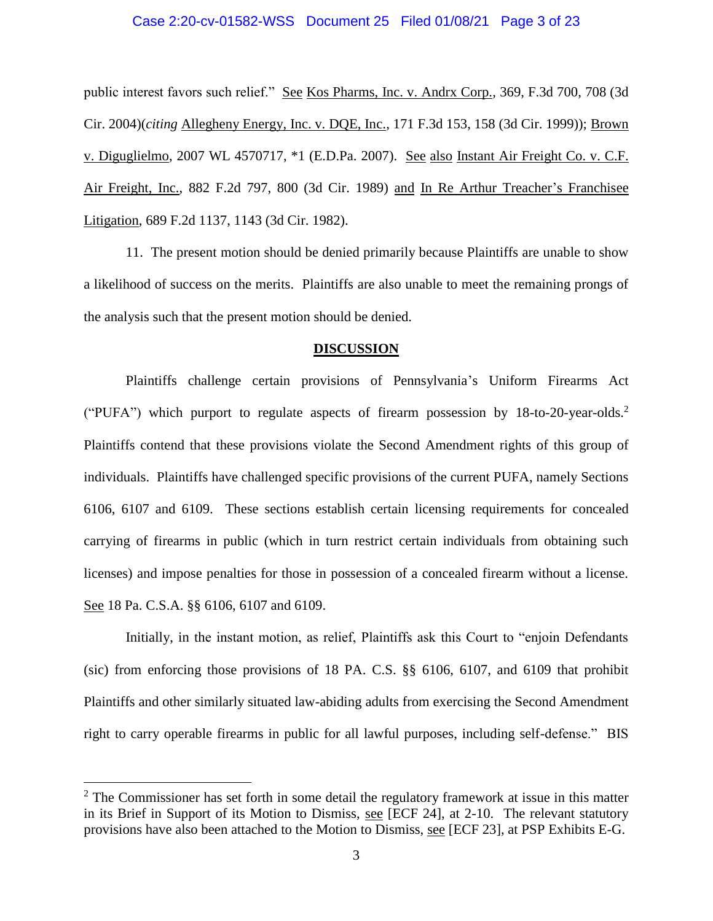#### Case 2:20-cv-01582-WSS Document 25 Filed 01/08/21 Page 3 of 23

public interest favors such relief." See Kos Pharms, Inc. v. Andrx Corp., 369, F.3d 700, 708 (3d Cir. 2004)(*citing* Allegheny Energy, Inc. v. DQE, Inc., 171 F.3d 153, 158 (3d Cir. 1999)); Brown v. Diguglielmo, 2007 WL 4570717, \*1 (E.D.Pa. 2007). See also Instant Air Freight Co. v. C.F. Air Freight, Inc., 882 F.2d 797, 800 (3d Cir. 1989) and In Re Arthur Treacher's Franchisee Litigation, 689 F.2d 1137, 1143 (3d Cir. 1982).

11. The present motion should be denied primarily because Plaintiffs are unable to show a likelihood of success on the merits. Plaintiffs are also unable to meet the remaining prongs of the analysis such that the present motion should be denied.

#### **DISCUSSION**

Plaintiffs challenge certain provisions of Pennsylvania's Uniform Firearms Act ("PUFA") which purport to regulate aspects of firearm possession by  $18$ -to-20-year-olds.<sup>2</sup> Plaintiffs contend that these provisions violate the Second Amendment rights of this group of individuals. Plaintiffs have challenged specific provisions of the current PUFA, namely Sections 6106, 6107 and 6109. These sections establish certain licensing requirements for concealed carrying of firearms in public (which in turn restrict certain individuals from obtaining such licenses) and impose penalties for those in possession of a concealed firearm without a license. See 18 Pa. C.S.A. §§ 6106, 6107 and 6109.

Initially, in the instant motion, as relief, Plaintiffs ask this Court to "enjoin Defendants (sic) from enforcing those provisions of 18 PA. C.S. §§ 6106, 6107, and 6109 that prohibit Plaintiffs and other similarly situated law-abiding adults from exercising the Second Amendment right to carry operable firearms in public for all lawful purposes, including self-defense." BIS

 $2^2$  The Commissioner has set forth in some detail the regulatory framework at issue in this matter in its Brief in Support of its Motion to Dismiss, see [ECF 24], at 2-10. The relevant statutory provisions have also been attached to the Motion to Dismiss, see [ECF 23], at PSP Exhibits E-G.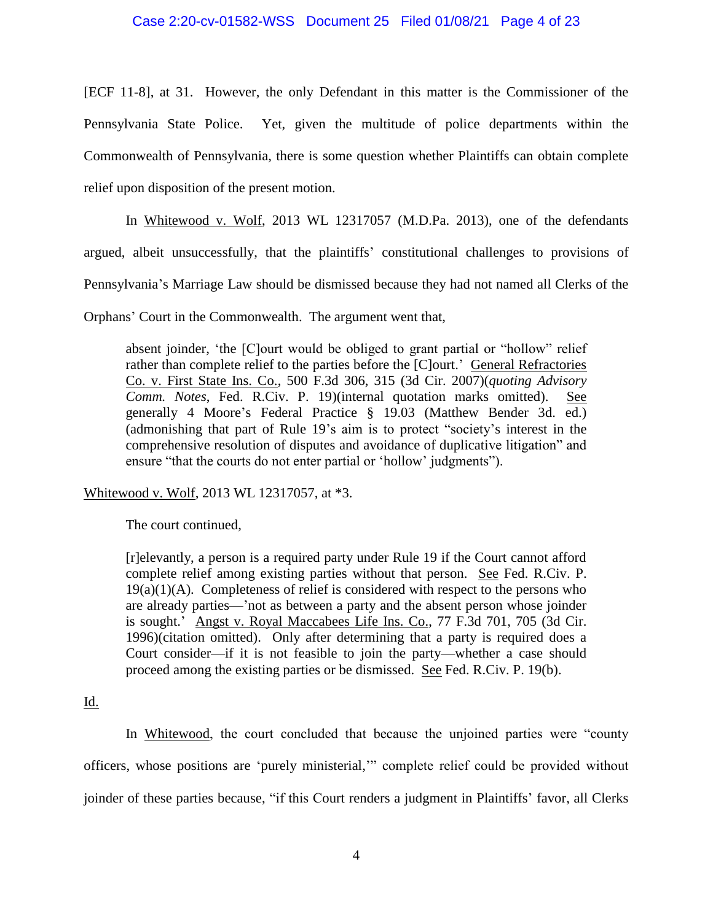#### Case 2:20-cv-01582-WSS Document 25 Filed 01/08/21 Page 4 of 23

[ECF 11-8], at 31. However, the only Defendant in this matter is the Commissioner of the Pennsylvania State Police. Yet, given the multitude of police departments within the Commonwealth of Pennsylvania, there is some question whether Plaintiffs can obtain complete relief upon disposition of the present motion.

In Whitewood v. Wolf, 2013 WL 12317057 (M.D.Pa. 2013), one of the defendants argued, albeit unsuccessfully, that the plaintiffs' constitutional challenges to provisions of Pennsylvania's Marriage Law should be dismissed because they had not named all Clerks of the

Orphans' Court in the Commonwealth. The argument went that,

absent joinder, 'the [C]ourt would be obliged to grant partial or "hollow" relief rather than complete relief to the parties before the [C]ourt.' General Refractories Co. v. First State Ins. Co., 500 F.3d 306, 315 (3d Cir. 2007)(*quoting Advisory Comm. Notes*, Fed. R.Civ. P. 19)(internal quotation marks omitted). See generally 4 Moore's Federal Practice § 19.03 (Matthew Bender 3d. ed.) (admonishing that part of Rule 19's aim is to protect "society's interest in the comprehensive resolution of disputes and avoidance of duplicative litigation" and ensure "that the courts do not enter partial or 'hollow' judgments").

Whitewood v. Wolf, 2013 WL 12317057, at \*3.

The court continued,

[r]elevantly, a person is a required party under Rule 19 if the Court cannot afford complete relief among existing parties without that person. See Fed. R.Civ. P.  $19(a)(1)(A)$ . Completeness of relief is considered with respect to the persons who are already parties—'not as between a party and the absent person whose joinder is sought.' Angst v. Royal Maccabees Life Ins. Co., 77 F.3d 701, 705 (3d Cir. 1996)(citation omitted). Only after determining that a party is required does a Court consider—if it is not feasible to join the party—whether a case should proceed among the existing parties or be dismissed. See Fed. R.Civ. P. 19(b).

Id.

In Whitewood, the court concluded that because the unjoined parties were "county officers, whose positions are 'purely ministerial,'" complete relief could be provided without joinder of these parties because, "if this Court renders a judgment in Plaintiffs' favor, all Clerks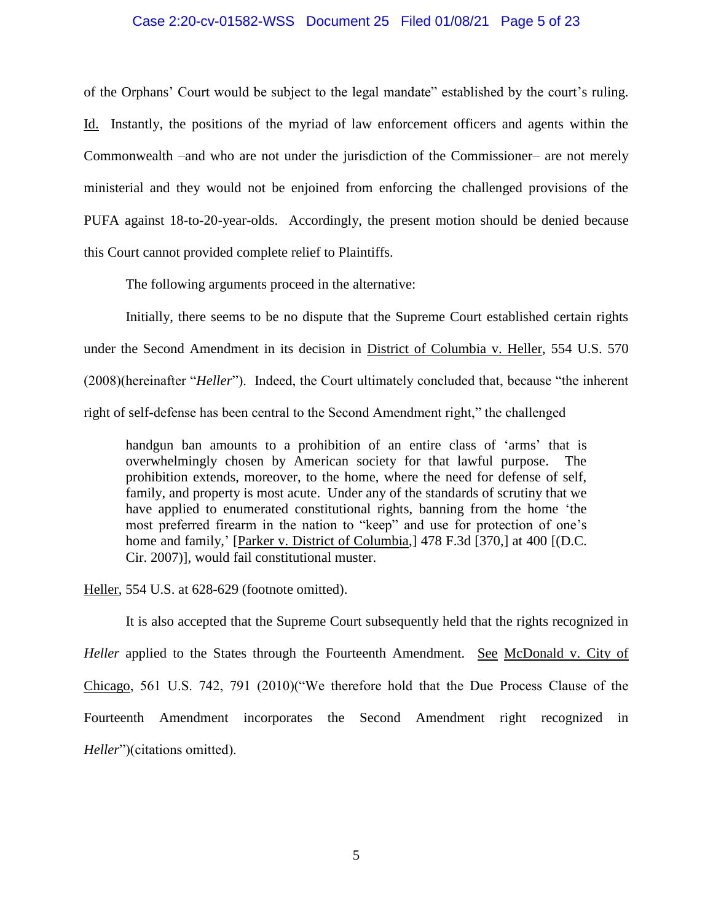#### Case 2:20-cv-01582-WSS Document 25 Filed 01/08/21 Page 5 of 23

of the Orphans' Court would be subject to the legal mandate" established by the court's ruling. Id. Instantly, the positions of the myriad of law enforcement officers and agents within the Commonwealth –and who are not under the jurisdiction of the Commissioner– are not merely ministerial and they would not be enjoined from enforcing the challenged provisions of the PUFA against 18-to-20-year-olds. Accordingly, the present motion should be denied because this Court cannot provided complete relief to Plaintiffs.

The following arguments proceed in the alternative:

Initially, there seems to be no dispute that the Supreme Court established certain rights under the Second Amendment in its decision in District of Columbia v. Heller, 554 U.S. 570 (2008)(hereinafter "*Heller*"). Indeed, the Court ultimately concluded that, because "the inherent right of self-defense has been central to the Second Amendment right," the challenged

handgun ban amounts to a prohibition of an entire class of 'arms' that is overwhelmingly chosen by American society for that lawful purpose. The prohibition extends, moreover, to the home, where the need for defense of self, family, and property is most acute. Under any of the standards of scrutiny that we have applied to enumerated constitutional rights, banning from the home 'the most preferred firearm in the nation to "keep" and use for protection of one's home and family,' [Parker v. District of Columbia,] 478 F.3d [370,] at 400 [(D.C. Cir. 2007)], would fail constitutional muster.

Heller, 554 U.S. at 628-629 (footnote omitted).

It is also accepted that the Supreme Court subsequently held that the rights recognized in *Heller* applied to the States through the Fourteenth Amendment. See McDonald v. City of Chicago, 561 U.S. 742, 791 (2010)("We therefore hold that the Due Process Clause of the Fourteenth Amendment incorporates the Second Amendment right recognized in *Heller*")(citations omitted).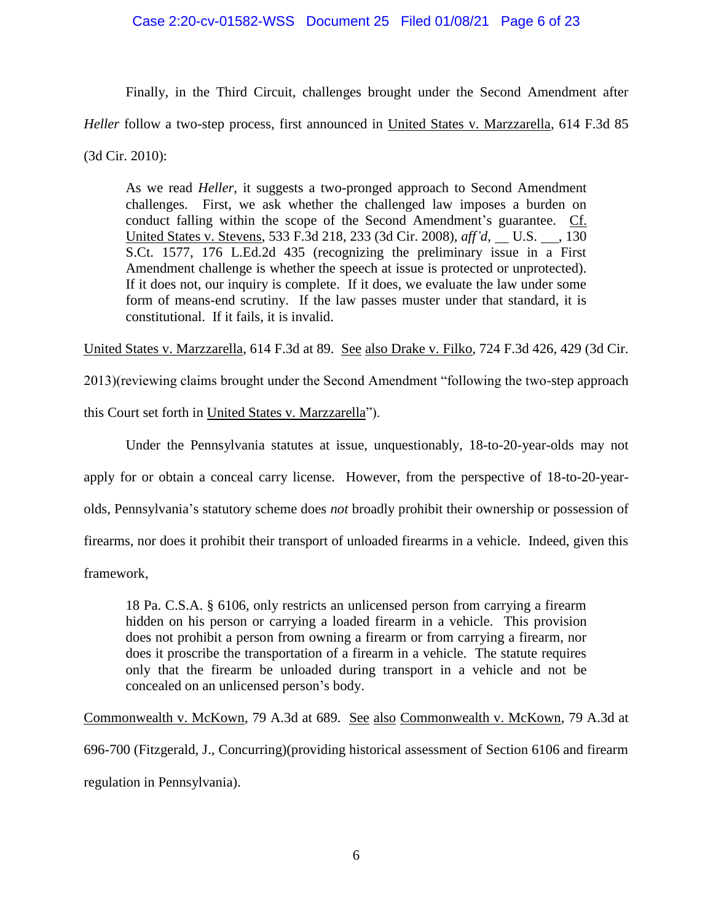Finally, in the Third Circuit, challenges brought under the Second Amendment after *Heller* follow a two-step process, first announced in United States v. Marzzarella, 614 F.3d 85 (3d Cir. 2010):

As we read *Heller,* it suggests a two-pronged approach to Second Amendment challenges. First, we ask whether the challenged law imposes a burden on conduct falling within the scope of the Second Amendment's guarantee. Cf. United States v. Stevens, 533 F.3d 218, 233 (3d Cir. 2008), *aff'd*, U.S. , 130 S.Ct. 1577, 176 L.Ed.2d 435 (recognizing the preliminary issue in a First Amendment challenge is whether the speech at issue is protected or unprotected). If it does not, our inquiry is complete. If it does, we evaluate the law under some form of means-end scrutiny. If the law passes muster under that standard, it is constitutional. If it fails, it is invalid.

United States v. Marzzarella, 614 F.3d at 89. See also Drake v. Filko, 724 F.3d 426, 429 (3d Cir.

2013)(reviewing claims brought under the Second Amendment "following the two-step approach

this Court set forth in United States v. Marzzarella").

Under the Pennsylvania statutes at issue, unquestionably, 18-to-20-year-olds may not apply for or obtain a conceal carry license. However, from the perspective of 18-to-20-yearolds, Pennsylvania's statutory scheme does *not* broadly prohibit their ownership or possession of firearms, nor does it prohibit their transport of unloaded firearms in a vehicle. Indeed, given this framework,

18 Pa. C.S.A. § 6106, only restricts an unlicensed person from carrying a firearm hidden on his person or carrying a loaded firearm in a vehicle. This provision does not prohibit a person from owning a firearm or from carrying a firearm, nor

does it proscribe the transportation of a firearm in a vehicle. The statute requires only that the firearm be unloaded during transport in a vehicle and not be concealed on an unlicensed person's body.

Commonwealth v. McKown, 79 A.3d at 689. See also Commonwealth v. McKown, 79 A.3d at 696-700 (Fitzgerald, J., Concurring)(providing historical assessment of Section 6106 and firearm regulation in Pennsylvania).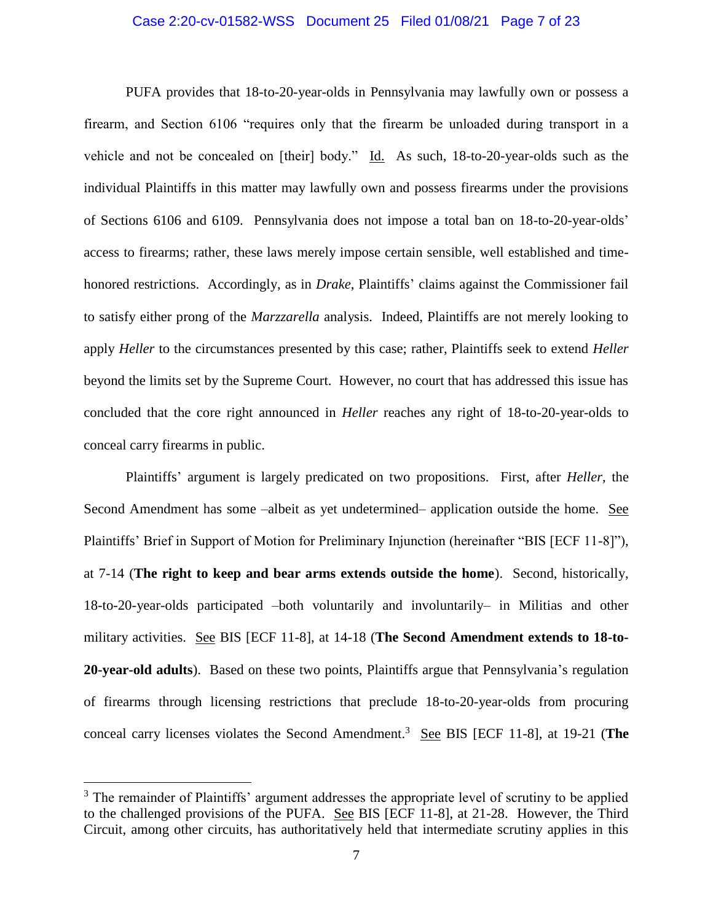#### Case 2:20-cv-01582-WSS Document 25 Filed 01/08/21 Page 7 of 23

PUFA provides that 18-to-20-year-olds in Pennsylvania may lawfully own or possess a firearm, and Section 6106 "requires only that the firearm be unloaded during transport in a vehicle and not be concealed on [their] body." Id. As such, 18-to-20-year-olds such as the individual Plaintiffs in this matter may lawfully own and possess firearms under the provisions of Sections 6106 and 6109. Pennsylvania does not impose a total ban on 18-to-20-year-olds' access to firearms; rather, these laws merely impose certain sensible, well established and timehonored restrictions. Accordingly, as in *Drake*, Plaintiffs' claims against the Commissioner fail to satisfy either prong of the *Marzzarella* analysis. Indeed, Plaintiffs are not merely looking to apply *Heller* to the circumstances presented by this case; rather, Plaintiffs seek to extend *Heller* beyond the limits set by the Supreme Court. However, no court that has addressed this issue has concluded that the core right announced in *Heller* reaches any right of 18-to-20-year-olds to conceal carry firearms in public.

Plaintiffs' argument is largely predicated on two propositions. First, after *Heller*, the Second Amendment has some –albeit as yet undetermined– application outside the home. See Plaintiffs' Brief in Support of Motion for Preliminary Injunction (hereinafter "BIS [ECF 11-8]"), at 7-14 (**The right to keep and bear arms extends outside the home**). Second, historically, 18-to-20-year-olds participated –both voluntarily and involuntarily– in Militias and other military activities. See BIS [ECF 11-8], at 14-18 (**The Second Amendment extends to 18-to-20-year-old adults**). Based on these two points, Plaintiffs argue that Pennsylvania's regulation of firearms through licensing restrictions that preclude 18-to-20-year-olds from procuring conceal carry licenses violates the Second Amendment.<sup>3</sup> See BIS [ECF 11-8], at 19-21 (The

<sup>&</sup>lt;sup>3</sup> The remainder of Plaintiffs' argument addresses the appropriate level of scrutiny to be applied to the challenged provisions of the PUFA. See BIS [ECF 11-8], at 21-28. However, the Third Circuit, among other circuits, has authoritatively held that intermediate scrutiny applies in this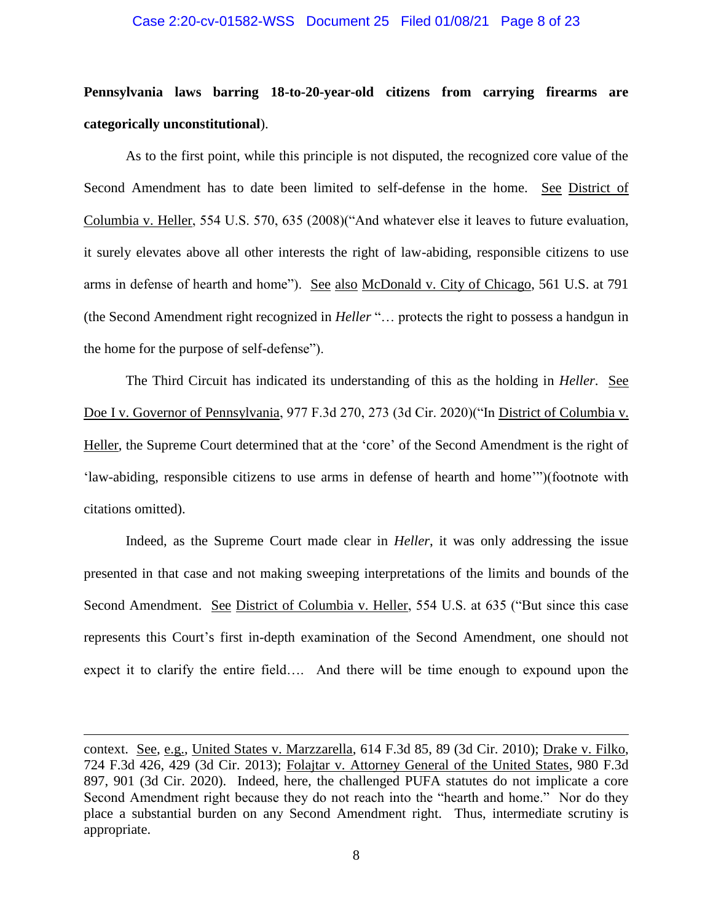#### Case 2:20-cv-01582-WSS Document 25 Filed 01/08/21 Page 8 of 23

# **Pennsylvania laws barring 18-to-20-year-old citizens from carrying firearms are categorically unconstitutional**).

As to the first point, while this principle is not disputed, the recognized core value of the Second Amendment has to date been limited to self-defense in the home. See District of Columbia v. Heller, 554 U.S. 570, 635 (2008)("And whatever else it leaves to future evaluation, it surely elevates above all other interests the right of law-abiding, responsible citizens to use arms in defense of hearth and home"). See also McDonald v. City of Chicago, 561 U.S. at 791 (the Second Amendment right recognized in *Heller* "… protects the right to possess a handgun in the home for the purpose of self-defense").

The Third Circuit has indicated its understanding of this as the holding in *Heller*. See Doe I v. Governor of Pennsylvania, 977 F.3d 270, 273 (3d Cir. 2020)("In District of Columbia v. Heller, the Supreme Court determined that at the 'core' of the Second Amendment is the right of 'law-abiding, responsible citizens to use arms in defense of hearth and home'")(footnote with citations omitted).

Indeed, as the Supreme Court made clear in *Heller*, it was only addressing the issue presented in that case and not making sweeping interpretations of the limits and bounds of the Second Amendment. See District of Columbia v. Heller, 554 U.S. at 635 ("But since this case represents this Court's first in-depth examination of the Second Amendment, one should not expect it to clarify the entire field…. And there will be time enough to expound upon the

context. See, e.g., United States v. Marzzarella, 614 F.3d 85, 89 (3d Cir. 2010); Drake v. Filko, 724 F.3d 426, 429 (3d Cir. 2013); Folajtar v. Attorney General of the United States, 980 F.3d 897, 901 (3d Cir. 2020). Indeed, here, the challenged PUFA statutes do not implicate a core Second Amendment right because they do not reach into the "hearth and home." Nor do they place a substantial burden on any Second Amendment right. Thus, intermediate scrutiny is appropriate.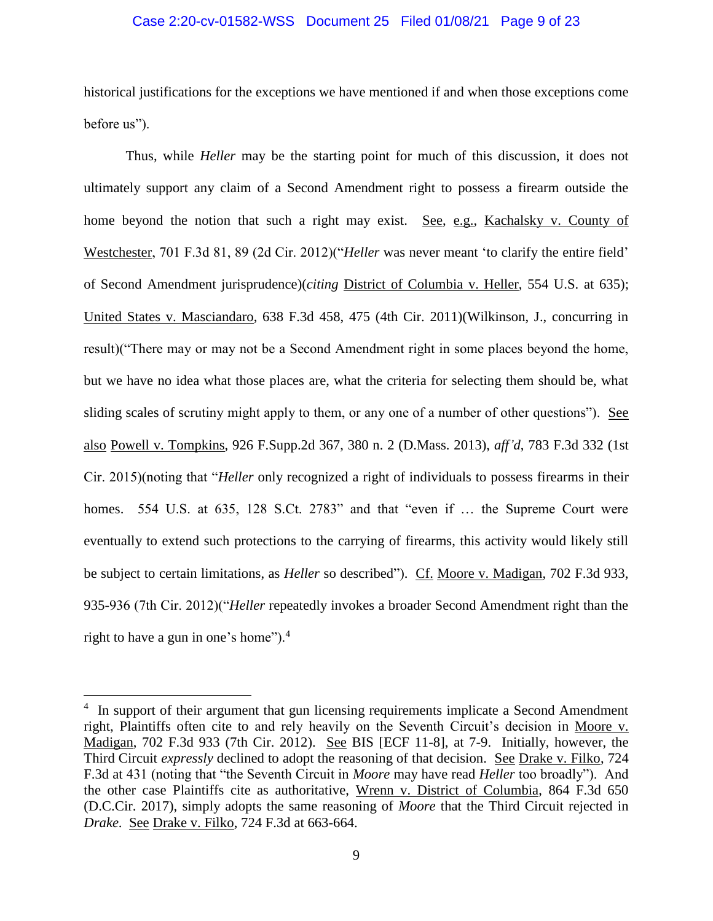#### Case 2:20-cv-01582-WSS Document 25 Filed 01/08/21 Page 9 of 23

historical justifications for the exceptions we have mentioned if and when those exceptions come before us").

Thus, while *Heller* may be the starting point for much of this discussion, it does not ultimately support any claim of a Second Amendment right to possess a firearm outside the home beyond the notion that such a right may exist. See, e.g., Kachalsky v. County of Westchester, 701 F.3d 81, 89 (2d Cir. 2012)("*Heller* was never meant 'to clarify the entire field' of Second Amendment jurisprudence)(*citing* District of Columbia v. Heller, 554 U.S. at 635); United States v. Masciandaro, 638 F.3d 458, 475 (4th Cir. 2011)(Wilkinson, J., concurring in result)("There may or may not be a Second Amendment right in some places beyond the home, but we have no idea what those places are, what the criteria for selecting them should be, what sliding scales of scrutiny might apply to them, or any one of a number of other questions"). See also Powell v. Tompkins, 926 F.Supp.2d 367, 380 n. 2 (D.Mass. 2013), *aff'd*, 783 F.3d 332 (1st Cir. 2015)(noting that "*Heller* only recognized a right of individuals to possess firearms in their homes. 554 U.S. at 635, 128 S.Ct. 2783" and that "even if ... the Supreme Court were eventually to extend such protections to the carrying of firearms, this activity would likely still be subject to certain limitations, as *Heller* so described"). Cf. Moore v. Madigan, 702 F.3d 933, 935-936 (7th Cir. 2012)("*Heller* repeatedly invokes a broader Second Amendment right than the right to have a gun in one's home").<sup>4</sup>

<sup>&</sup>lt;sup>4</sup> In support of their argument that gun licensing requirements implicate a Second Amendment right, Plaintiffs often cite to and rely heavily on the Seventh Circuit's decision in Moore v. Madigan, 702 F.3d 933 (7th Cir. 2012). See BIS [ECF 11-8], at 7-9. Initially, however, the Third Circuit *expressly* declined to adopt the reasoning of that decision. See Drake v. Filko, 724 F.3d at 431 (noting that "the Seventh Circuit in *Moore* may have read *Heller* too broadly"). And the other case Plaintiffs cite as authoritative, Wrenn v. District of Columbia, 864 F.3d 650 (D.C.Cir. 2017), simply adopts the same reasoning of *Moore* that the Third Circuit rejected in *Drake*. See Drake v. Filko, 724 F.3d at 663-664.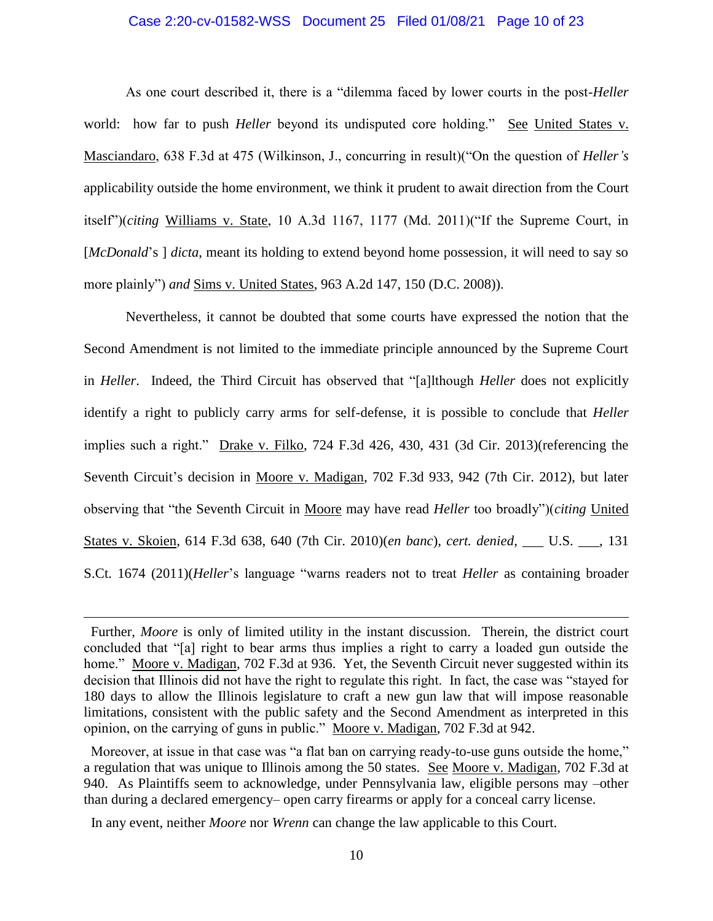#### Case 2:20-cv-01582-WSS Document 25 Filed 01/08/21 Page 10 of 23

As one court described it, there is a "dilemma faced by lower courts in the post-*Heller* world: how far to push *Heller* beyond its undisputed core holding." See United States v. Masciandaro, 638 F.3d at 475 (Wilkinson, J., concurring in result)("On the question of *Heller's* applicability outside the home environment, we think it prudent to await direction from the Court itself")(*citing* Williams v. State, 10 A.3d 1167, 1177 (Md. 2011)("If the Supreme Court, in [*McDonald*'s ] *dicta*, meant its holding to extend beyond home possession, it will need to say so more plainly") *and* Sims v. United States, 963 A.2d 147, 150 (D.C. 2008)).

Nevertheless, it cannot be doubted that some courts have expressed the notion that the Second Amendment is not limited to the immediate principle announced by the Supreme Court in *Heller*. Indeed, the Third Circuit has observed that "[a]lthough *Heller* does not explicitly identify a right to publicly carry arms for self-defense, it is possible to conclude that *Heller* implies such a right." Drake v. Filko, 724 F.3d 426, 430, 431 (3d Cir. 2013)(referencing the Seventh Circuit's decision in Moore v. Madigan, 702 F.3d 933, 942 (7th Cir. 2012), but later observing that "the Seventh Circuit in Moore may have read *Heller* too broadly")(*citing* United States v. Skoien, 614 F.3d 638, 640 (7th Cir. 2010)(*en banc*), *cert. denied*, \_\_\_ U.S. \_\_\_, 131 S.Ct. 1674 (2011)(*Heller*'s language "warns readers not to treat *Heller* as containing broader

In any event, neither *Moore* nor *Wrenn* can change the law applicable to this Court.

Further, *Moore* is only of limited utility in the instant discussion. Therein, the district court concluded that "[a] right to bear arms thus implies a right to carry a loaded gun outside the home." Moore v. Madigan, 702 F.3d at 936. Yet, the Seventh Circuit never suggested within its decision that Illinois did not have the right to regulate this right. In fact, the case was "stayed for 180 days to allow the Illinois legislature to craft a new gun law that will impose reasonable limitations, consistent with the public safety and the Second Amendment as interpreted in this opinion, on the carrying of guns in public." Moore v. Madigan, 702 F.3d at 942.

Moreover, at issue in that case was "a flat ban on carrying ready-to-use guns outside the home," a regulation that was unique to Illinois among the 50 states. See Moore v. Madigan, 702 F.3d at 940. As Plaintiffs seem to acknowledge, under Pennsylvania law, eligible persons may –other than during a declared emergency– open carry firearms or apply for a conceal carry license.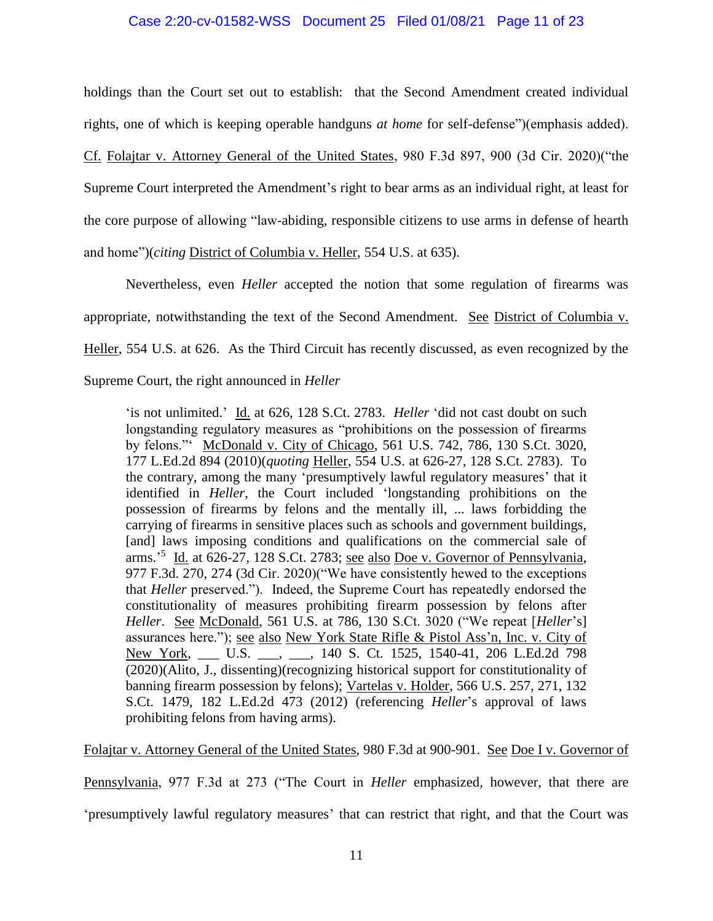#### Case 2:20-cv-01582-WSS Document 25 Filed 01/08/21 Page 11 of 23

holdings than the Court set out to establish: that the Second Amendment created individual rights, one of which is keeping operable handguns *at home* for self-defense")(emphasis added). Cf. Folajtar v. Attorney General of the United States, 980 F.3d 897, 900 (3d Cir. 2020)("the Supreme Court interpreted the Amendment's right to bear arms as an individual right, at least for the core purpose of allowing "law-abiding, responsible citizens to use arms in defense of hearth and home")(*citing* District of Columbia v. Heller, 554 U.S. at 635).

Nevertheless, even *Heller* accepted the notion that some regulation of firearms was appropriate, notwithstanding the text of the Second Amendment. See District of Columbia v. Heller, 554 U.S. at 626. As the Third Circuit has recently discussed, as even recognized by the Supreme Court, the right announced in *Heller*

'is not unlimited.' Id. at 626, 128 S.Ct. 2783. *Heller* 'did not cast doubt on such longstanding regulatory measures as "prohibitions on the possession of firearms by felons."' McDonald v. City of Chicago, 561 U.S. 742, 786, 130 S.Ct. 3020, 177 L.Ed.2d 894 (2010)(*quoting* Heller, 554 U.S. at 626-27, 128 S.Ct. 2783). To the contrary, among the many 'presumptively lawful regulatory measures' that it identified in *Heller*, the Court included 'longstanding prohibitions on the possession of firearms by felons and the mentally ill, ... laws forbidding the carrying of firearms in sensitive places such as schools and government buildings, [and] laws imposing conditions and qualifications on the commercial sale of arms.<sup>5</sup> Id. at 626-27, 128 S.Ct. 2783; <u>see also Doe v. Governor of Pennsylvania</u>, 977 F.3d. 270, 274 (3d Cir. 2020)("We have consistently hewed to the exceptions that *Heller* preserved."). Indeed, the Supreme Court has repeatedly endorsed the constitutionality of measures prohibiting firearm possession by felons after *Heller*. See McDonald, 561 U.S. at 786, 130 S.Ct. 3020 ("We repeat [*Heller*'s] assurances here."); see also New York State Rifle & Pistol Ass'n, Inc. v. City of New York, \_\_\_ U.S. \_\_\_, \_\_, 140 S. Ct. 1525, 1540-41, 206 L.Ed.2d 798 (2020)(Alito, J., dissenting)(recognizing historical support for constitutionality of banning firearm possession by felons); Vartelas v. Holder, 566 U.S. 257, 271, 132 S.Ct. 1479, 182 L.Ed.2d 473 (2012) (referencing *Heller*'s approval of laws prohibiting felons from having arms).

Folajtar v. Attorney General of the United States, 980 F.3d at 900-901. See Doe I v. Governor of

Pennsylvania, 977 F.3d at 273 ("The Court in *Heller* emphasized, however, that there are

'presumptively lawful regulatory measures' that can restrict that right, and that the Court was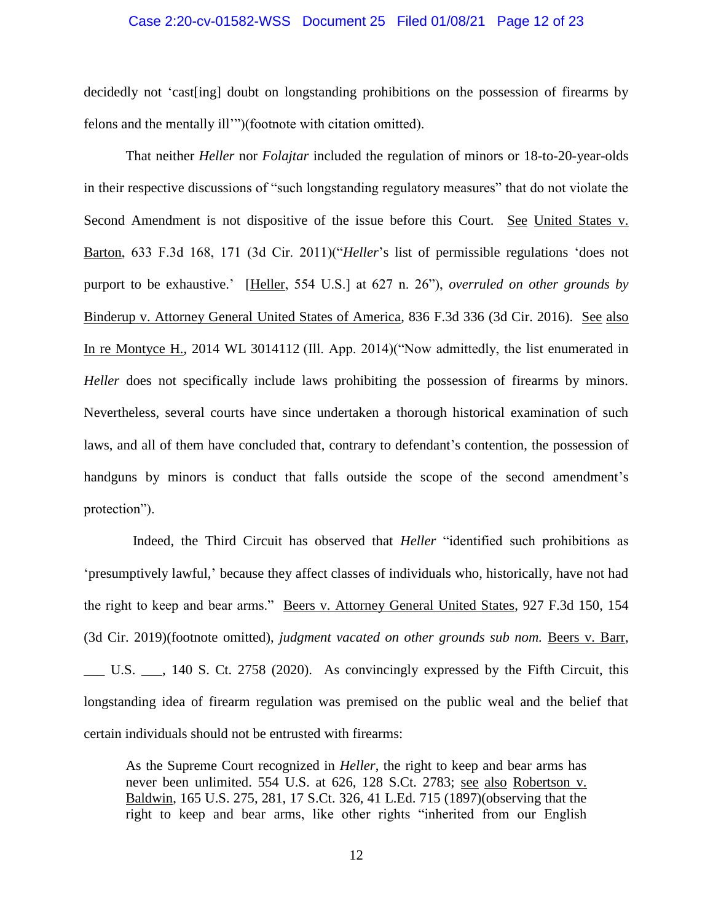#### Case 2:20-cv-01582-WSS Document 25 Filed 01/08/21 Page 12 of 23

decidedly not 'cast[ing] doubt on longstanding prohibitions on the possession of firearms by felons and the mentally ill'")(footnote with citation omitted).

That neither *Heller* nor *Folajtar* included the regulation of minors or 18-to-20-year-olds in their respective discussions of "such longstanding regulatory measures" that do not violate the Second Amendment is not dispositive of the issue before this Court. See United States v. Barton, 633 F.3d 168, 171 (3d Cir. 2011)("*Heller*'s list of permissible regulations 'does not purport to be exhaustive.' [Heller, 554 U.S.] at 627 n. 26"), *overruled on other grounds by* Binderup v. Attorney General United States of America, 836 F.3d 336 (3d Cir. 2016). See also In re Montyce H., 2014 WL 3014112 (Ill. App. 2014)("Now admittedly, the list enumerated in *Heller* does not specifically include laws prohibiting the possession of firearms by minors. Nevertheless, several courts have since undertaken a thorough historical examination of such laws, and all of them have concluded that, contrary to defendant's contention, the possession of handguns by minors is conduct that falls outside the scope of the second amendment's protection").

 Indeed, the Third Circuit has observed that *Heller* "identified such prohibitions as 'presumptively lawful,' because they affect classes of individuals who, historically, have not had the right to keep and bear arms." Beers v. Attorney General United States, 927 F.3d 150, 154 (3d Cir. 2019)(footnote omitted), *judgment vacated on other grounds sub nom.* Beers v. Barr, \_\_\_ U.S. \_\_\_, 140 S. Ct. 2758 (2020). As convincingly expressed by the Fifth Circuit, this longstanding idea of firearm regulation was premised on the public weal and the belief that certain individuals should not be entrusted with firearms:

As the Supreme Court recognized in *Heller*, the right to keep and bear arms has never been unlimited. 554 U.S. at 626, 128 S.Ct. 2783; see also Robertson v. Baldwin, 165 U.S. 275, 281, 17 S.Ct. 326, 41 L.Ed. 715 (1897)(observing that the right to keep and bear arms, like other rights "inherited from our English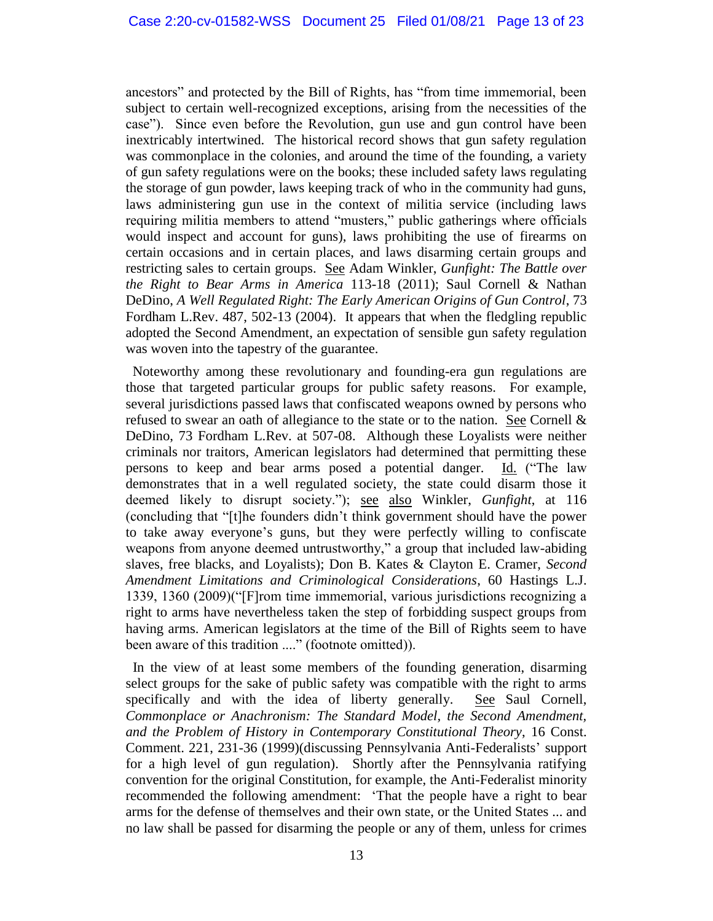ancestors" and protected by the Bill of Rights, has "from time immemorial, been subject to certain well-recognized exceptions, arising from the necessities of the case"). Since even before the Revolution, gun use and gun control have been inextricably intertwined. The historical record shows that gun safety regulation was commonplace in the colonies, and around the time of the founding, a variety of gun safety regulations were on the books; these included safety laws regulating the storage of gun powder, laws keeping track of who in the community had guns, laws administering gun use in the context of militia service (including laws requiring militia members to attend "musters," public gatherings where officials would inspect and account for guns), laws prohibiting the use of firearms on certain occasions and in certain places, and laws disarming certain groups and restricting sales to certain groups. See Adam Winkler, *Gunfight: The Battle over the Right to Bear Arms in America* 113-18 (2011); Saul Cornell & Nathan DeDino, *A Well Regulated Right: The Early American Origins of Gun Control*, 73 Fordham L.Rev. 487, 502-13 (2004). It appears that when the fledgling republic adopted the Second Amendment, an expectation of sensible gun safety regulation was woven into the tapestry of the guarantee.

 Noteworthy among these revolutionary and founding-era gun regulations are those that targeted particular groups for public safety reasons. For example, several jurisdictions passed laws that confiscated weapons owned by persons who refused to swear an oath of allegiance to the state or to the nation. See Cornell & DeDino, 73 Fordham L.Rev. at 507-08. Although these Loyalists were neither criminals nor traitors, American legislators had determined that permitting these persons to keep and bear arms posed a potential danger. Id. ("The law demonstrates that in a well regulated society, the state could disarm those it deemed likely to disrupt society."); see also Winkler, *Gunfight*, at 116 (concluding that "[t]he founders didn't think government should have the power to take away everyone's guns, but they were perfectly willing to confiscate weapons from anyone deemed untrustworthy," a group that included law-abiding slaves, free blacks, and Loyalists); Don B. Kates & Clayton E. Cramer, *Second Amendment Limitations and Criminological Considerations*, 60 Hastings L.J. 1339, 1360 (2009)("[F]rom time immemorial, various jurisdictions recognizing a right to arms have nevertheless taken the step of forbidding suspect groups from having arms. American legislators at the time of the Bill of Rights seem to have been aware of this tradition ...." (footnote omitted)).

 In the view of at least some members of the founding generation, disarming select groups for the sake of public safety was compatible with the right to arms specifically and with the idea of liberty generally. See Saul Cornell, *Commonplace or Anachronism: The Standard Model, the Second Amendment, and the Problem of History in Contemporary Constitutional Theory*, 16 Const. Comment. 221, 231-36 (1999)(discussing Pennsylvania Anti-Federalists' support for a high level of gun regulation). Shortly after the Pennsylvania ratifying convention for the original Constitution, for example, the Anti-Federalist minority recommended the following amendment: 'That the people have a right to bear arms for the defense of themselves and their own state, or the United States ... and no law shall be passed for disarming the people or any of them, unless for crimes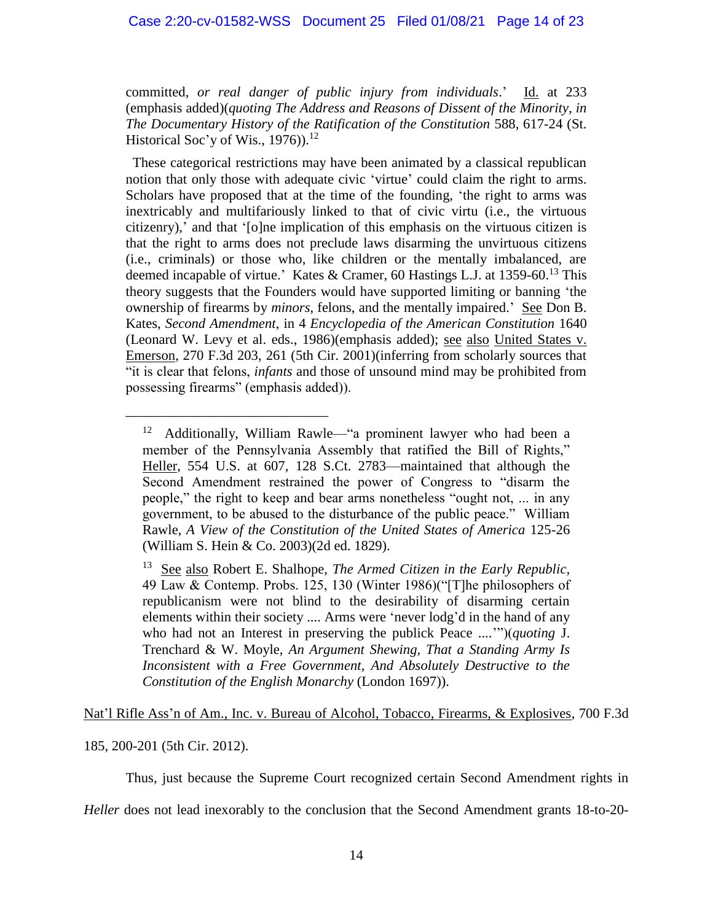### Case 2:20-cv-01582-WSS Document 25 Filed 01/08/21 Page 14 of 23

committed, *or real danger of public injury from individuals*.' Id. at 233 (emphasis added)(*quoting The Address and Reasons of Dissent of the Minority, in The Documentary History of the Ratification of the Constitution* 588, 617-24 (St. Historical Soc'y of Wis.,  $1976$ ).<sup>12</sup>

 These categorical restrictions may have been animated by a classical republican notion that only those with adequate civic 'virtue' could claim the right to arms. Scholars have proposed that at the time of the founding, 'the right to arms was inextricably and multifariously linked to that of civic virtu (i.e., the virtuous citizenry),' and that '[o]ne implication of this emphasis on the virtuous citizen is that the right to arms does not preclude laws disarming the unvirtuous citizens (i.e., criminals) or those who, like children or the mentally imbalanced, are deemed incapable of virtue.' Kates & Cramer, 60 Hastings L.J. at 1359-60.<sup>13</sup> This theory suggests that the Founders would have supported limiting or banning 'the ownership of firearms by *minors*, felons, and the mentally impaired.' See Don B. Kates, *Second Amendment*, in 4 *Encyclopedia of the American Constitution* 1640 (Leonard W. Levy et al. eds., 1986)(emphasis added); see also United States v. Emerson, 270 F.3d 203, 261 (5th Cir. 2001)(inferring from scholarly sources that "it is clear that felons, *infants* and those of unsound mind may be prohibited from possessing firearms" (emphasis added)).

Nat'l Rifle Ass'n of Am., Inc. v. Bureau of Alcohol, Tobacco, Firearms, & Explosives, 700 F.3d

#### 185, 200-201 (5th Cir. 2012).

\_\_\_\_\_\_\_\_\_\_\_\_\_\_\_\_\_\_\_\_\_\_\_\_\_\_\_\_\_

Thus, just because the Supreme Court recognized certain Second Amendment rights in

*Heller* does not lead inexorably to the conclusion that the Second Amendment grants 18-to-20-

<sup>12</sup> Additionally, William Rawle—"a prominent lawyer who had been a member of the Pennsylvania Assembly that ratified the Bill of Rights," Heller, 554 U.S. at 607, 128 S.Ct. 2783—maintained that although the Second Amendment restrained the power of Congress to "disarm the people," the right to keep and bear arms nonetheless "ought not, ... in any government, to be abused to the disturbance of the public peace." William Rawle, *A View of the Constitution of the United States of America* 125-26 (William S. Hein & Co. 2003)(2d ed. 1829).

<sup>&</sup>lt;sup>13</sup> See also Robert E. Shalhope, *The Armed Citizen in the Early Republic*, 49 Law & Contemp. Probs. 125, 130 (Winter 1986)("[T]he philosophers of republicanism were not blind to the desirability of disarming certain elements within their society .... Arms were 'never lodg'd in the hand of any who had not an Interest in preserving the publick Peace ....'")(*quoting* J. Trenchard & W. Moyle, *An Argument Shewing, That a Standing Army Is Inconsistent with a Free Government, And Absolutely Destructive to the Constitution of the English Monarchy* (London 1697)).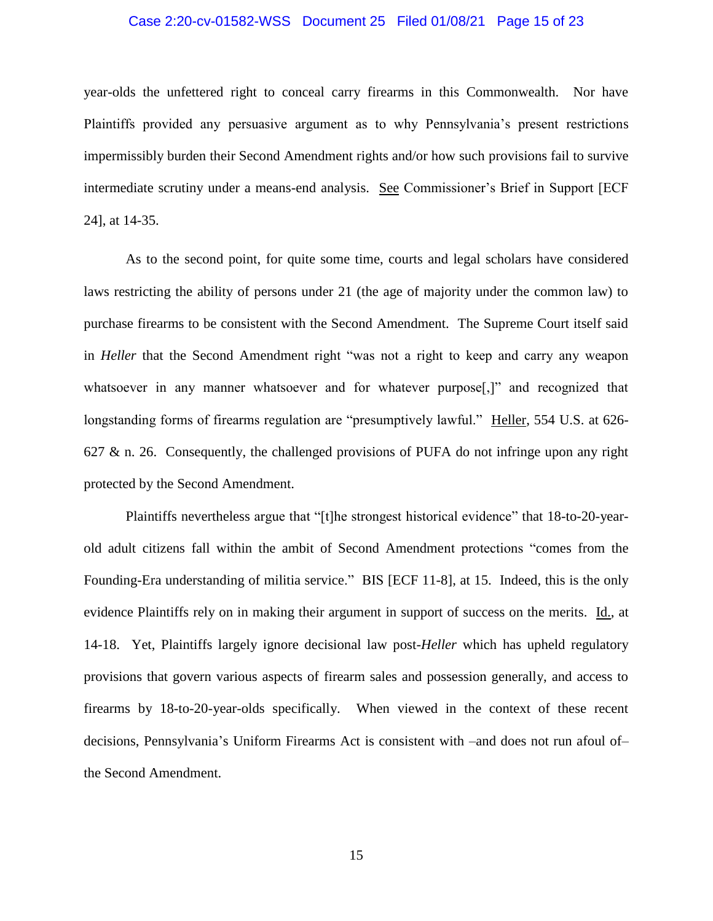#### Case 2:20-cv-01582-WSS Document 25 Filed 01/08/21 Page 15 of 23

year-olds the unfettered right to conceal carry firearms in this Commonwealth. Nor have Plaintiffs provided any persuasive argument as to why Pennsylvania's present restrictions impermissibly burden their Second Amendment rights and/or how such provisions fail to survive intermediate scrutiny under a means-end analysis. See Commissioner's Brief in Support [ECF 24], at 14-35.

As to the second point, for quite some time, courts and legal scholars have considered laws restricting the ability of persons under 21 (the age of majority under the common law) to purchase firearms to be consistent with the Second Amendment. The Supreme Court itself said in *Heller* that the Second Amendment right "was not a right to keep and carry any weapon whatsoever in any manner whatsoever and for whatever purpose. The recognized that longstanding forms of firearms regulation are "presumptively lawful." Heller, 554 U.S. at 626-627 & n. 26. Consequently, the challenged provisions of PUFA do not infringe upon any right protected by the Second Amendment.

Plaintiffs nevertheless argue that "[t]he strongest historical evidence" that 18-to-20-yearold adult citizens fall within the ambit of Second Amendment protections "comes from the Founding-Era understanding of militia service." BIS [ECF 11-8], at 15. Indeed, this is the only evidence Plaintiffs rely on in making their argument in support of success on the merits. Id., at 14-18. Yet, Plaintiffs largely ignore decisional law post-*Heller* which has upheld regulatory provisions that govern various aspects of firearm sales and possession generally, and access to firearms by 18-to-20-year-olds specifically. When viewed in the context of these recent decisions, Pennsylvania's Uniform Firearms Act is consistent with –and does not run afoul of– the Second Amendment.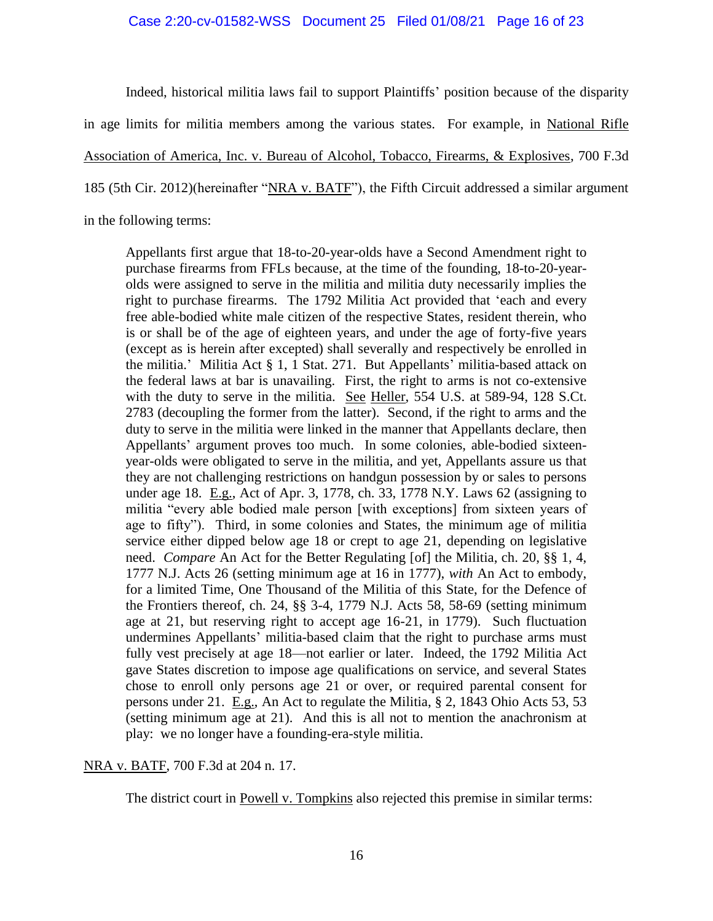#### Case 2:20-cv-01582-WSS Document 25 Filed 01/08/21 Page 16 of 23

Indeed, historical militia laws fail to support Plaintiffs' position because of the disparity in age limits for militia members among the various states. For example, in National Rifle Association of America, Inc. v. Bureau of Alcohol, Tobacco, Firearms, & Explosives, 700 F.3d 185 (5th Cir. 2012)(hereinafter "NRA v. BATF"), the Fifth Circuit addressed a similar argument in the following terms:

Appellants first argue that 18-to-20-year-olds have a Second Amendment right to purchase firearms from FFLs because, at the time of the founding, 18-to-20-yearolds were assigned to serve in the militia and militia duty necessarily implies the right to purchase firearms. The 1792 Militia Act provided that 'each and every free able-bodied white male citizen of the respective States, resident therein, who is or shall be of the age of eighteen years, and under the age of forty-five years (except as is herein after excepted) shall severally and respectively be enrolled in the militia.' Militia Act § 1, 1 Stat. 271. But Appellants' militia-based attack on the federal laws at bar is unavailing. First, the right to arms is not co-extensive with the duty to serve in the militia. See Heller, 554 U.S. at 589-94, 128 S.Ct. 2783 (decoupling the former from the latter). Second, if the right to arms and the duty to serve in the militia were linked in the manner that Appellants declare, then Appellants' argument proves too much. In some colonies, able-bodied sixteenyear-olds were obligated to serve in the militia, and yet, Appellants assure us that they are not challenging restrictions on handgun possession by or sales to persons under age 18. E.g., Act of Apr. 3, 1778, ch. 33, 1778 N.Y. Laws 62 (assigning to militia "every able bodied male person [with exceptions] from sixteen years of age to fifty"). Third, in some colonies and States, the minimum age of militia service either dipped below age 18 or crept to age 21, depending on legislative need. *Compare* An Act for the Better Regulating [of] the Militia, ch. 20, §§ 1, 4, 1777 N.J. Acts 26 (setting minimum age at 16 in 1777), *with* An Act to embody, for a limited Time, One Thousand of the Militia of this State, for the Defence of the Frontiers thereof, ch. 24, §§ 3-4, 1779 N.J. Acts 58, 58-69 (setting minimum age at 21, but reserving right to accept age 16-21, in 1779). Such fluctuation undermines Appellants' militia-based claim that the right to purchase arms must fully vest precisely at age 18—not earlier or later. Indeed, the 1792 Militia Act gave States discretion to impose age qualifications on service, and several States chose to enroll only persons age 21 or over, or required parental consent for persons under 21. E.g., An Act to regulate the Militia, § 2, 1843 Ohio Acts 53, 53 (setting minimum age at 21). And this is all not to mention the anachronism at play: we no longer have a founding-era-style militia.

#### NRA v. BATF, 700 F.3d at 204 n. 17.

The district court in Powell v. Tompkins also rejected this premise in similar terms: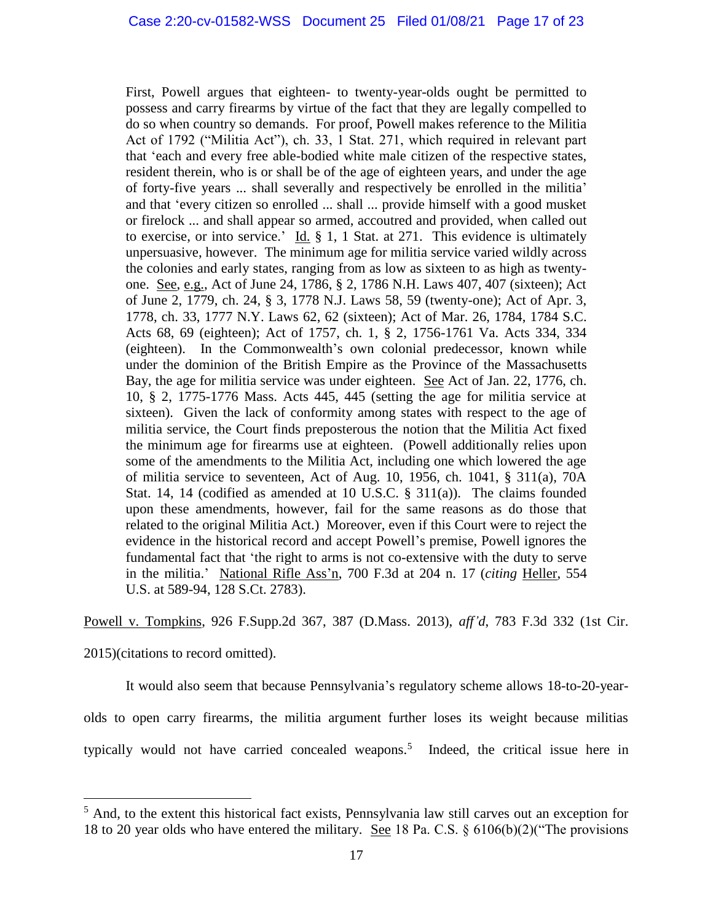First, Powell argues that eighteen- to twenty-year-olds ought be permitted to possess and carry firearms by virtue of the fact that they are legally compelled to do so when country so demands. For proof, Powell makes reference to the Militia Act of 1792 ("Militia Act"), ch. 33, 1 Stat. 271, which required in relevant part that 'each and every free able-bodied white male citizen of the respective states, resident therein, who is or shall be of the age of eighteen years, and under the age of forty-five years ... shall severally and respectively be enrolled in the militia' and that 'every citizen so enrolled ... shall ... provide himself with a good musket or firelock ... and shall appear so armed, accoutred and provided, when called out to exercise, or into service.'  $\underline{Id.}$  § 1, 1 Stat. at 271. This evidence is ultimately unpersuasive, however. The minimum age for militia service varied wildly across the colonies and early states, ranging from as low as sixteen to as high as twentyone. See, e.g., Act of June 24, 1786, § 2, 1786 N.H. Laws 407, 407 (sixteen); Act of June 2, 1779, ch. 24, § 3, 1778 N.J. Laws 58, 59 (twenty-one); Act of Apr. 3, 1778, ch. 33, 1777 N.Y. Laws 62, 62 (sixteen); Act of Mar. 26, 1784, 1784 S.C. Acts 68, 69 (eighteen); Act of 1757, ch. 1, § 2, 1756-1761 Va. Acts 334, 334 (eighteen). In the Commonwealth's own colonial predecessor, known while under the dominion of the British Empire as the Province of the Massachusetts Bay, the age for militia service was under eighteen. See Act of Jan. 22, 1776, ch. 10, § 2, 1775-1776 Mass. Acts 445, 445 (setting the age for militia service at sixteen). Given the lack of conformity among states with respect to the age of militia service, the Court finds preposterous the notion that the Militia Act fixed the minimum age for firearms use at eighteen. (Powell additionally relies upon some of the amendments to the Militia Act, including one which lowered the age of militia service to seventeen, Act of Aug. 10, 1956, ch. 1041, § 311(a), 70A Stat. 14, 14 (codified as amended at 10 U.S.C. § 311(a)). The claims founded upon these amendments, however, fail for the same reasons as do those that related to the original Militia Act.) Moreover, even if this Court were to reject the evidence in the historical record and accept Powell's premise, Powell ignores the fundamental fact that 'the right to arms is not co-extensive with the duty to serve in the militia.' National Rifle Ass'n, 700 F.3d at 204 n. 17 (*citing* Heller, 554 U.S. at 589-94, 128 S.Ct. 2783).

Powell v. Tompkins, 926 F.Supp.2d 367, 387 (D.Mass. 2013), *aff'd*, 783 F.3d 332 (1st Cir.

2015)(citations to record omitted).

It would also seem that because Pennsylvania's regulatory scheme allows 18-to-20-yearolds to open carry firearms, the militia argument further loses its weight because militias typically would not have carried concealed weapons.<sup>5</sup> Indeed, the critical issue here in

 $\overline{a}$ <sup>5</sup> And, to the extent this historical fact exists, Pennsylvania law still carves out an exception for 18 to 20 year olds who have entered the military. See 18 Pa. C.S. § 6106(b)(2)("The provisions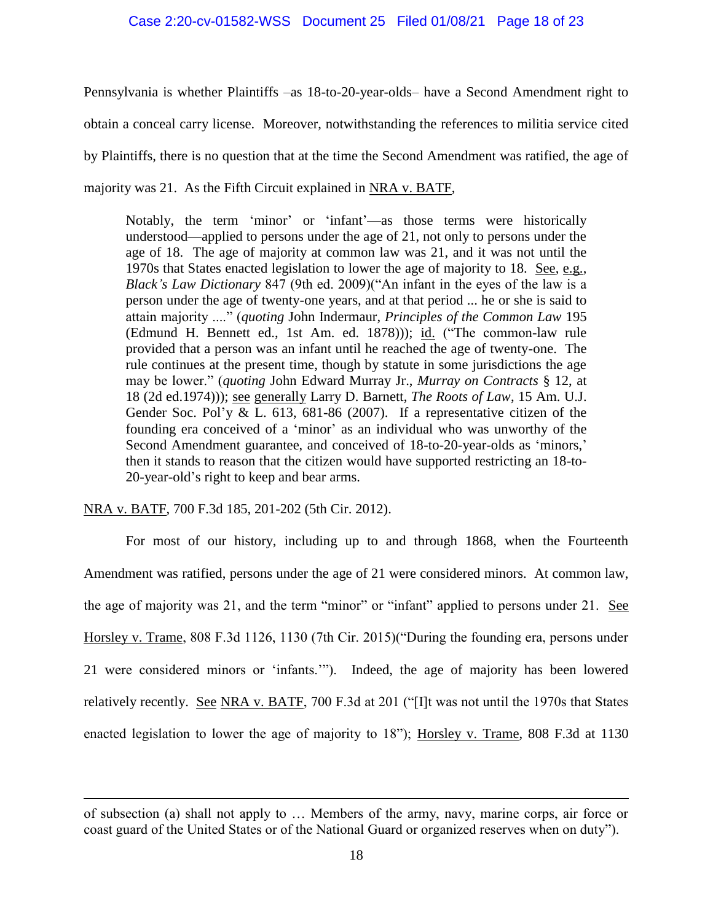Pennsylvania is whether Plaintiffs –as 18-to-20-year-olds– have a Second Amendment right to obtain a conceal carry license. Moreover, notwithstanding the references to militia service cited by Plaintiffs, there is no question that at the time the Second Amendment was ratified, the age of majority was 21. As the Fifth Circuit explained in NRA v. BATF,

Notably, the term 'minor' or 'infant'—as those terms were historically understood—applied to persons under the age of 21, not only to persons under the age of 18. The age of majority at common law was 21, and it was not until the 1970s that States enacted legislation to lower the age of majority to 18. See, e.g., *Black's Law Dictionary* 847 (9th ed. 2009)("An infant in the eyes of the law is a person under the age of twenty-one years, and at that period ... he or she is said to attain majority ...." (*quoting* John Indermaur, *Principles of the Common Law* 195 (Edmund H. Bennett ed., 1st Am. ed. 1878))); id. ("The common-law rule provided that a person was an infant until he reached the age of twenty-one. The rule continues at the present time, though by statute in some jurisdictions the age may be lower." (*quoting* John Edward Murray Jr., *Murray on Contracts* § 12, at 18 (2d ed.1974))); see generally Larry D. Barnett, *The Roots of Law*, 15 Am. U.J. Gender Soc. Pol'y  $&$  L. 613, 681-86 (2007). If a representative citizen of the founding era conceived of a 'minor' as an individual who was unworthy of the Second Amendment guarantee, and conceived of 18-to-20-year-olds as 'minors,' then it stands to reason that the citizen would have supported restricting an 18-to-20-year-old's right to keep and bear arms.

NRA v. BATF, 700 F.3d 185, 201-202 (5th Cir. 2012).

 $\overline{a}$ 

For most of our history, including up to and through 1868, when the Fourteenth Amendment was ratified, persons under the age of 21 were considered minors. At common law, the age of majority was 21, and the term "minor" or "infant" applied to persons under 21. See Horsley v. Trame, 808 F.3d 1126, 1130 (7th Cir. 2015)("During the founding era, persons under 21 were considered minors or 'infants.'"). Indeed, the age of majority has been lowered relatively recently. See NRA v. BATF, 700 F.3d at 201 ("[I]t was not until the 1970s that States enacted legislation to lower the age of majority to 18"); Horsley v. Trame, 808 F.3d at 1130

of subsection (a) shall not apply to … Members of the army, navy, marine corps, air force or coast guard of the United States or of the National Guard or organized reserves when on duty").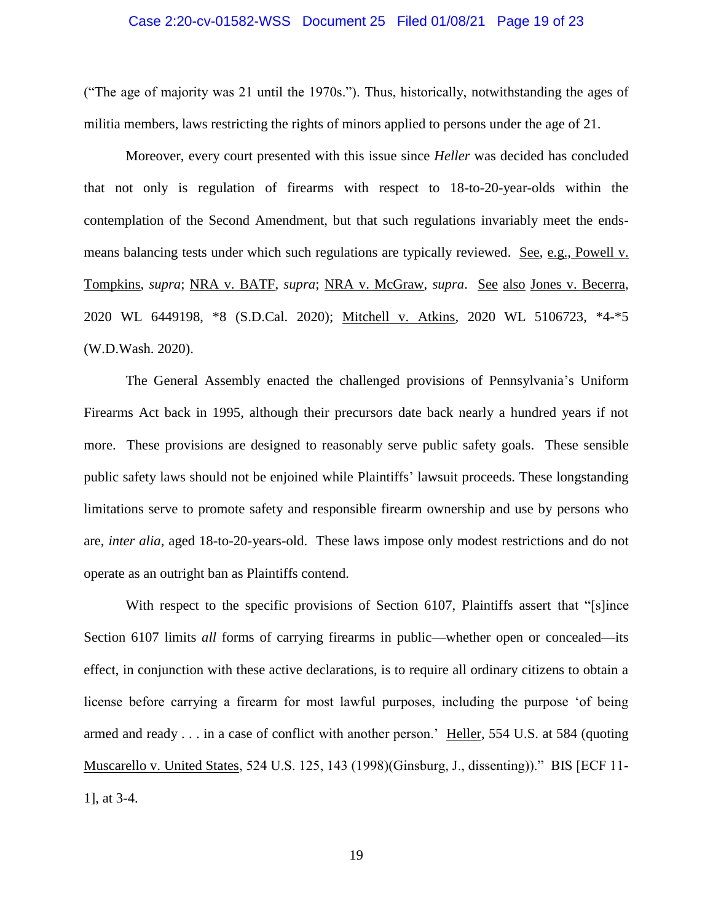#### Case 2:20-cv-01582-WSS Document 25 Filed 01/08/21 Page 19 of 23

("The age of majority was 21 until the 1970s."). Thus, historically, notwithstanding the ages of militia members, laws restricting the rights of minors applied to persons under the age of 21.

Moreover, every court presented with this issue since *Heller* was decided has concluded that not only is regulation of firearms with respect to 18-to-20-year-olds within the contemplation of the Second Amendment, but that such regulations invariably meet the endsmeans balancing tests under which such regulations are typically reviewed. See, e.g., Powell v. Tompkins, *supra*; NRA v. BATF, *supra*; NRA v. McGraw, *supra*. See also Jones v. Becerra, 2020 WL 6449198, \*8 (S.D.Cal. 2020); Mitchell v. Atkins, 2020 WL 5106723, \*4-\*5 (W.D.Wash. 2020).

The General Assembly enacted the challenged provisions of Pennsylvania's Uniform Firearms Act back in 1995, although their precursors date back nearly a hundred years if not more. These provisions are designed to reasonably serve public safety goals. These sensible public safety laws should not be enjoined while Plaintiffs' lawsuit proceeds. These longstanding limitations serve to promote safety and responsible firearm ownership and use by persons who are, *inter alia*, aged 18-to-20-years-old. These laws impose only modest restrictions and do not operate as an outright ban as Plaintiffs contend.

With respect to the specific provisions of Section 6107, Plaintiffs assert that "[s]ince Section 6107 limits *all* forms of carrying firearms in public—whether open or concealed—its effect, in conjunction with these active declarations, is to require all ordinary citizens to obtain a license before carrying a firearm for most lawful purposes, including the purpose 'of being armed and ready . . . in a case of conflict with another person.' Heller, 554 U.S. at 584 (quoting Muscarello v. United States, 524 U.S. 125, 143 (1998)(Ginsburg, J., dissenting))." BIS [ECF 11- 1], at 3-4.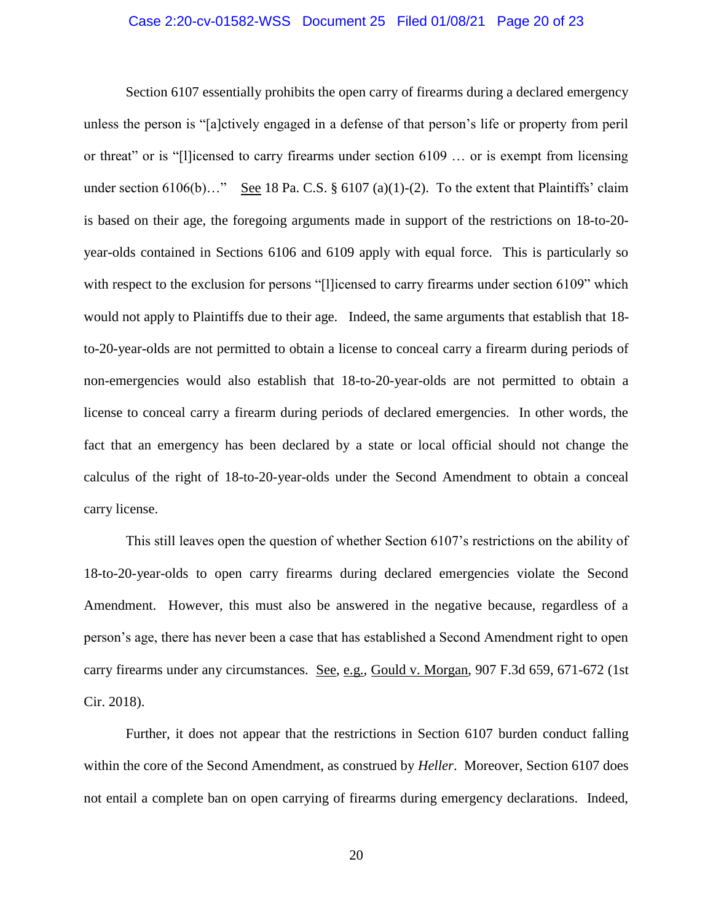#### Case 2:20-cv-01582-WSS Document 25 Filed 01/08/21 Page 20 of 23

Section 6107 essentially prohibits the open carry of firearms during a declared emergency unless the person is "[a]ctively engaged in a defense of that person's life or property from peril or threat" or is "[l]icensed to carry firearms under section 6109 … or is exempt from licensing under section  $6106(b)...$  See 18 Pa. C.S. §  $6107(a)(1)-(2)$ . To the extent that Plaintiffs' claim is based on their age, the foregoing arguments made in support of the restrictions on 18-to-20 year-olds contained in Sections 6106 and 6109 apply with equal force. This is particularly so with respect to the exclusion for persons "[l]icensed to carry firearms under section 6109" which would not apply to Plaintiffs due to their age. Indeed, the same arguments that establish that 18 to-20-year-olds are not permitted to obtain a license to conceal carry a firearm during periods of non-emergencies would also establish that 18-to-20-year-olds are not permitted to obtain a license to conceal carry a firearm during periods of declared emergencies. In other words, the fact that an emergency has been declared by a state or local official should not change the calculus of the right of 18-to-20-year-olds under the Second Amendment to obtain a conceal carry license.

This still leaves open the question of whether Section 6107's restrictions on the ability of 18-to-20-year-olds to open carry firearms during declared emergencies violate the Second Amendment. However, this must also be answered in the negative because, regardless of a person's age, there has never been a case that has established a Second Amendment right to open carry firearms under any circumstances. See, e.g., Gould v. Morgan, 907 F.3d 659, 671-672 (1st Cir. 2018).

Further, it does not appear that the restrictions in Section 6107 burden conduct falling within the core of the Second Amendment, as construed by *Heller*. Moreover, Section 6107 does not entail a complete ban on open carrying of firearms during emergency declarations. Indeed,

20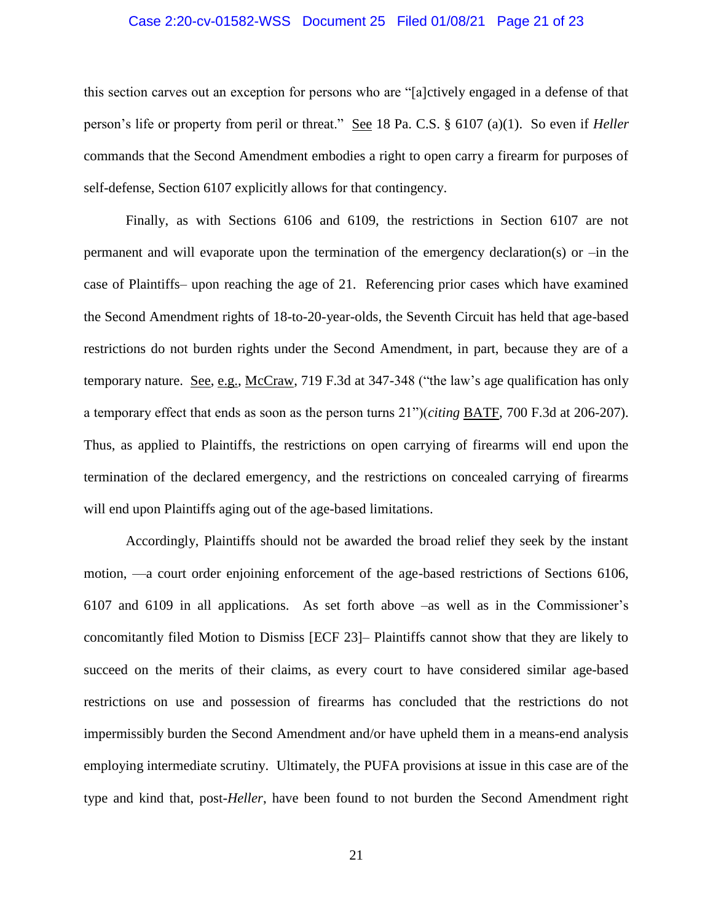#### Case 2:20-cv-01582-WSS Document 25 Filed 01/08/21 Page 21 of 23

this section carves out an exception for persons who are "[a]ctively engaged in a defense of that person's life or property from peril or threat." See 18 Pa. C.S. § 6107 (a)(1). So even if *Heller* commands that the Second Amendment embodies a right to open carry a firearm for purposes of self-defense, Section 6107 explicitly allows for that contingency.

Finally, as with Sections 6106 and 6109, the restrictions in Section 6107 are not permanent and will evaporate upon the termination of the emergency declaration(s) or –in the case of Plaintiffs– upon reaching the age of 21. Referencing prior cases which have examined the Second Amendment rights of 18-to-20-year-olds, the Seventh Circuit has held that age-based restrictions do not burden rights under the Second Amendment, in part, because they are of a temporary nature. See, e.g., McCraw, 719 F.3d at 347-348 ("the law's age qualification has only a temporary effect that ends as soon as the person turns 21")(*citing* BATF, 700 F.3d at 206-207). Thus, as applied to Plaintiffs, the restrictions on open carrying of firearms will end upon the termination of the declared emergency, and the restrictions on concealed carrying of firearms will end upon Plaintiffs aging out of the age-based limitations.

Accordingly, Plaintiffs should not be awarded the broad relief they seek by the instant motion, —a court order enjoining enforcement of the age-based restrictions of Sections 6106, 6107 and 6109 in all applications. As set forth above –as well as in the Commissioner's concomitantly filed Motion to Dismiss [ECF 23]– Plaintiffs cannot show that they are likely to succeed on the merits of their claims, as every court to have considered similar age-based restrictions on use and possession of firearms has concluded that the restrictions do not impermissibly burden the Second Amendment and/or have upheld them in a means-end analysis employing intermediate scrutiny. Ultimately, the PUFA provisions at issue in this case are of the type and kind that, post-*Heller*, have been found to not burden the Second Amendment right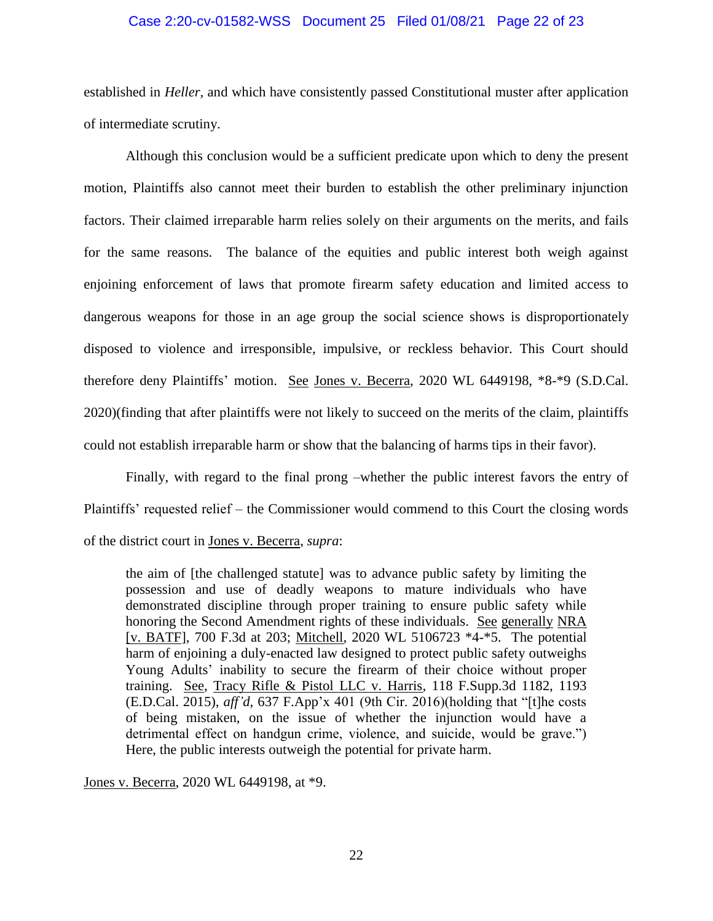#### Case 2:20-cv-01582-WSS Document 25 Filed 01/08/21 Page 22 of 23

established in *Heller*, and which have consistently passed Constitutional muster after application of intermediate scrutiny.

Although this conclusion would be a sufficient predicate upon which to deny the present motion, Plaintiffs also cannot meet their burden to establish the other preliminary injunction factors. Their claimed irreparable harm relies solely on their arguments on the merits, and fails for the same reasons. The balance of the equities and public interest both weigh against enjoining enforcement of laws that promote firearm safety education and limited access to dangerous weapons for those in an age group the social science shows is disproportionately disposed to violence and irresponsible, impulsive, or reckless behavior. This Court should therefore deny Plaintiffs' motion. See Jones v. Becerra, 2020 WL 6449198, \*8-\*9 (S.D.Cal. 2020)(finding that after plaintiffs were not likely to succeed on the merits of the claim, plaintiffs could not establish irreparable harm or show that the balancing of harms tips in their favor).

Finally, with regard to the final prong –whether the public interest favors the entry of Plaintiffs' requested relief – the Commissioner would commend to this Court the closing words of the district court in Jones v. Becerra, *supra*:

the aim of [the challenged statute] was to advance public safety by limiting the possession and use of deadly weapons to mature individuals who have demonstrated discipline through proper training to ensure public safety while honoring the Second Amendment rights of these individuals. See generally NRA [v. BATF], 700 F.3d at 203; Mitchell, 2020 WL 5106723 \*4-\*5. The potential harm of enjoining a duly-enacted law designed to protect public safety outweighs Young Adults' inability to secure the firearm of their choice without proper training. See, Tracy Rifle & Pistol LLC v. Harris, 118 F.Supp.3d 1182, 1193 (E.D.Cal. 2015), *aff'd*, 637 F.App'x 401 (9th Cir. 2016)(holding that "[t]he costs of being mistaken, on the issue of whether the injunction would have a detrimental effect on handgun crime, violence, and suicide, would be grave.") Here, the public interests outweigh the potential for private harm.

Jones v. Becerra, 2020 WL 6449198, at \*9.